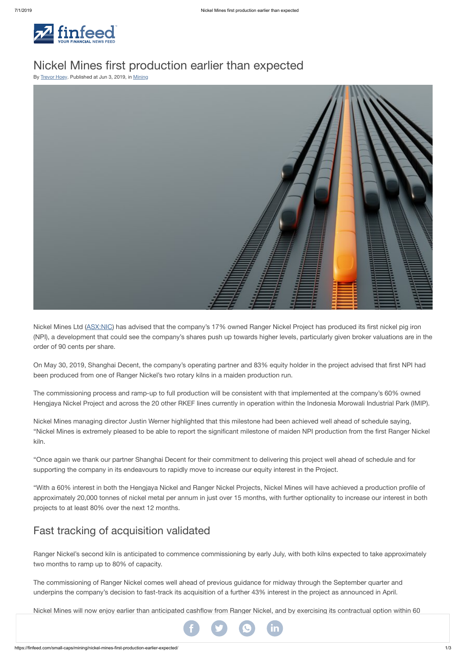

# Nickel Mines first production earlier than expected

By [Trevor](https://finfeed.com/author/trevor-hoey/) Hoey. Published at Jun 3, 2019, in [Mining](https://finfeed.com/small-caps/mining/)



Nickel Mines Ltd ([ASX:NIC](https://finfeed.com/company/nic/)) has advised that the company's 17% owned Ranger Nickel Project has produced its first nickel pig iron (NPI), a development that could see the company's shares push up towards higher levels, particularly given broker valuations are in the order of 90 cents per share.

On May 30, 2019, Shanghai Decent, the company's operating partner and 83% equity holder in the project advised that first NPI had been produced from one of Ranger Nickel's two rotary kilns in a maiden production run.

The commissioning process and ramp-up to full production will be consistent with that implemented at the company's 60% owned Hengjaya Nickel Project and across the 20 other RKEF lines currently in operation within the Indonesia Morowali Industrial Park (IMIP).

Nickel Mines managing director Justin Werner highlighted that this milestone had been achieved well ahead of schedule saying, "Nickel Mines is extremely pleased to be able to report the significant milestone of maiden NPI production from the first Ranger Nickel kiln.

"Once again we thank our partner Shanghai Decent for their commitment to delivering this project well ahead of schedule and for supporting the company in its endeavours to rapidly move to increase our equity interest in the Project.

"With a 60% interest in both the Hengjaya Nickel and Ranger Nickel Projects, Nickel Mines will have achieved a production profile of approximately 20,000 tonnes of nickel metal per annum in just over 15 months, with further optionality to increase our interest in both projects to at least 80% over the next 12 months.

## Fast tracking of acquisition validated

Ranger Nickel's second kiln is anticipated to commence commissioning by early July, with both kilns expected to take approximately two months to ramp up to 80% of capacity.

The commissioning of Ranger Nickel comes well ahead of previous guidance for midway through the September quarter and underpins the company's decision to fast-track its acquisition of a further 43% interest in the project as announced in April.

Nickel Mines will now enjoy earlier than anticipated cashflow from Ranger Nickel, and by exercising its contractual option within 60

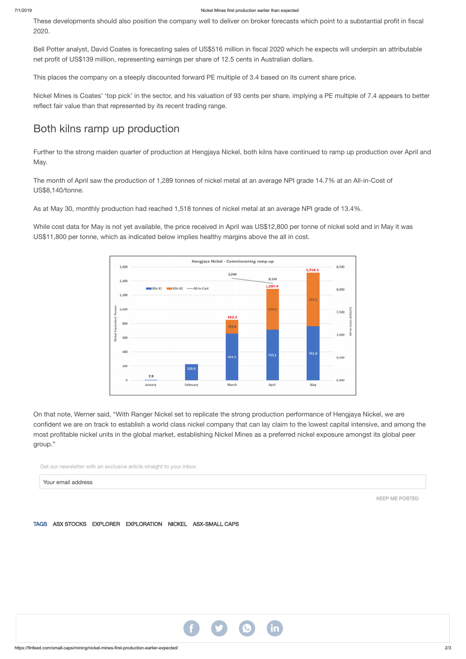These developments should also position the company well to deliver on broker forecasts which point to a substantial profit in fiscal 2020.

Bell Potter analyst, David Coates is forecasting sales of US\$516 million in fiscal 2020 which he expects will underpin an attributable net profit of US\$139 million, representing earnings per share of 12.5 cents in Australian dollars.

This places the company on a steeply discounted forward PE multiple of 3.4 based on its current share price.

Nickel Mines is Coates' 'top pick' in the sector, and his valuation of 93 cents per share, implying a PE multiple of 7.4 appears to better reflect fair value than that represented by its recent trading range.

### Both kilns ramp up production

Further to the strong maiden quarter of production at Hengjaya Nickel, both kilns have continued to ramp up production over April and May.

The month of April saw the production of 1,289 tonnes of nickel metal at an average NPI grade 14.7% at an All-in-Cost of US\$8,140/tonne.

As at May 30, monthly production had reached 1,518 tonnes of nickel metal at an average NPI grade of 13.4%.

While cost data for May is not yet available, the price received in April was US\$12,800 per tonne of nickel sold and in May it was US\$11,800 per tonne, which as indicated below implies healthy margins above the all in cost.



On that note, Werner said, "With Ranger Nickel set to replicate the strong production performance of Hengjaya Nickel, we are confident we are on track to establish a world class nickel company that can lay claim to the lowest capital intensive, and among the most profitable nickel units in the global market, establishing Nickel Mines as a preferred nickel exposure amongst its global peer group."

Get our newsletter with an exclusive article straight to your inbox

Your email address

#### TAGS ASX [STOCKS](https://finfeed.com/tag/asx-stocks/) [EXPLORER](https://finfeed.com/tag/explorer/) [EXPLORATION](https://finfeed.com/tag/exploration/) [NICKEL](https://finfeed.com/tag/nickel/) [ASX-SMALL](https://finfeed.com/tag/asx-small-caps/) CAPS